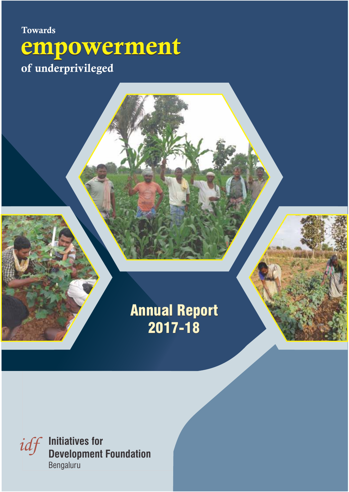# **Towards** of underprivileged empowerment

# Annual Report 2017-18

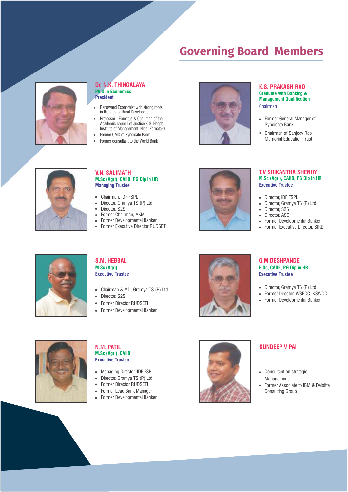## **Governing Board Members**



#### **Dr. N.K. THINGALAYA Ph.D in Economics President**

- $\bullet$ Renowned Economist with strong roots in the area of Rural Development
- Professor Emeritus & Chairman of the  $\bullet$ Academic council of Justice K.S. Hegde Institute of Management, Nitte, Karnataka
- Former CMD of Syndicate Bank  $\bullet$ Former consultant to the World Bank  $\bullet$



#### **K.S. PRAKASH RAO Graduate with Banking & Management Qualification** Chairman

- Former General Manager of Syndicate Bank
- Chairman of Sanjeev Rao Memorial Education Trust



## **V.N. SALIMATH M.Sc (Agri), CAIIB, PG Dip in HR Managing Trustee**

- Chairman, IDF FSPL
- Director, Gramya TS (P) Ltd  $\bullet$
- $\bullet$ Director, S2S
- Former Chairman, AKMI
- Former Developmental Banker  $\bullet$
- $\bullet$ Former Executive Director RUDSETI



#### **T.V SRIKANTHA SHENOY M.Sc (Agri), CAIIB, PG Dip in HR Executive Trustee**

- Director, IDF FSPL
- Director, Gramya TS (P) Ltd  $\bullet$
- Director, S2S  $\bullet$
- $\bullet$ Director, ASCI
- Former Developmental Banker  $\bullet$
- Former Executive Director, SIRD  $\ddot{\phantom{a}}$



## **S.M. HEBBAL M.Sc (Agri) Executive Trustee**

- Chairman & MD, Gramya TS (P) Ltd
- Director, S2S
- Former Director RUDSETI
- Former Developmental Banker



### **G.M DESHPANDE B.Sc, CAIIB, PG Dip in HR Executive Trustee**

- Director, Gramya TS (P) Ltd
- Former Director, WSECC, KSWDC
- Former Developmental Banker  $\bullet$



## **M.Sc (Agri), CAIIB N.M. PATIL Executive Trustee**

- Managing Director, IDF FSPL
- Director, Gramya TS (P) Ltd
- Former Director RUDSETI  $\bullet$
- Former Lead Bank Manager  $\bullet$
- Former Developmental Banker  $\bullet$



## **SUNDEEP V PAI**

- Consultant on strategic Management
- Former Associate to IBM & Deloitte  $\bullet$ Consulting Group

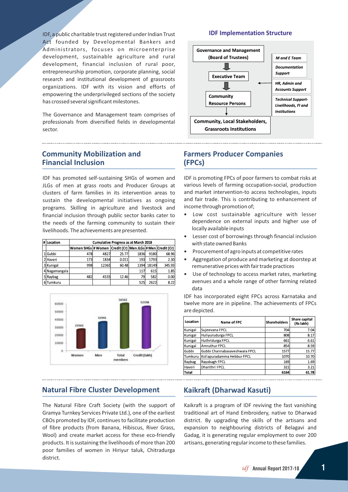IDF, a public charitable trust registered under Indian Trust Act founded by Developmental Bankers and Administrators, focuses on microenterprise development, sustainable agriculture and rural development, financial inclusion of rural poor, entrepreneurship promotion, corporate planning, social research and institutional development of grassroots organizations. IDF with its vision and efforts of empowering the underprivileged sections of the society has crossed several significant milestones.

The Governance and Management team comprises of professionals from diversified fields in developmental sector.

### **IDF Implementation Structure**



## **Community Mobilization and Financial Inclusion**

IDF has promoted self-sustaining SHGs of women and JLGs of men at grass roots and Producer Groups at clusters of farm families in its intervention areas to sustain the developmental initiatives as ongoing programs. Skilling in agriculture and livestock and financial inclusion through public sector banks cater to the needs of the farming community to sustain their livelihoods. The achievements are presented.

| # Location    | <b>Cumulative Progress as at March 2018</b>                     |       |       |      |       |        |  |  |
|---------------|-----------------------------------------------------------------|-------|-------|------|-------|--------|--|--|
|               | Women SHGs # Women   Credit (Cr)   Men JLGs # Men   Credit (Cr) |       |       |      |       |        |  |  |
| Gubbi         | 478                                                             | 4827  | 25.77 | 1836 | 9180  | 68.96  |  |  |
| 2 Haveri      | 173                                                             | 1834  | 0.011 | 193  | 1793  | 2.30   |  |  |
| 3 Kunigal     | 998                                                             | 12365 | 60.48 | 1394 | 18149 | 345.93 |  |  |
| 4 Nagamangala |                                                                 |       |       | 117  | 615   | 1.85   |  |  |
| 5 Raybag      | 482                                                             | 4535  | 12.46 | 79   | 582   | 0.00   |  |  |
| Tumkuru       |                                                                 |       |       | 525  | 2622  | 8.22   |  |  |



## **Natural Fibre Cluster Development**

The Natural Fibre Craft Society (with the support of Gramya Turnkey Services Private Ltd.), one of the earliest CBOs promoted by IDF, continues to facilitate production of fibre products (from Banana, Hibiscus, River Grass, Wool) and create market access for these eco-friendly products. It is sustaining the livelihoods of more than 200 poor families of women in Hiriyur taluk, Chitradurga district.

## **Farmers Producer Companies (FPCs)**

IDF is promoting FPCs of poor farmers to combat risks at various levels of farming occupation-social, production and market intervention-to access technologies, inputs and fair trade. This is contributing to enhancement of income through promotion of;

- Low cost sustainable agriculture with lesser dependence on external inputs and higher use of locally available inputs
- Lesser cost of borrowings through financial inclusion with state owned Banks
- Procurement of agro inputs at competitive rates
- Aggregation of produce and marketing at doorstep at remunerative prices with fair trade practices
- Use of technology to access market rates, marketing avenues and a whole range of other farming related data

IDF has incorporated eight FPCs across Karnataka and twelve more are in pipeline. The achievements of FPCs are depicted.

| Location | Name of FPC                   | <b>Shareholders</b> | Share capital<br>(Rs lakh) |
|----------|-------------------------------|---------------------|----------------------------|
| Kunigal  | Sujeevana FPCL                | 704                 | 7.04                       |
| Kunigal  | Huliyurudurga FPCL            | 808                 | 8.17                       |
| Kunigal  | Huthridurga FPCL              | 661                 | 6.61                       |
| Kunigal  | Amruthur FPCL                 | 854                 | 8.59                       |
| Gubbi    | Gubbi Channabasaveshwara FPCL | 1577                | 15.77                      |
| Tumkuru  | Kollapuradamma Hebbur FPCL    | 1070                | 10.70                      |
| Raybag   | Rayabagh FPCL                 | 169                 | 1.69                       |
| Haveri   | Dharithri FPCL                | 321                 | 3.21                       |
| Total    |                               | 6164                | 61.78                      |

## **Kaikraft (Dharwad Kasuti)**

Kaikraft is a program of IDF reviving the fast vanishing traditional art of Hand Embroidery, native to Dharwad district. By upgrading the skills of the artisans and expansion to neighbouring districts of Belagavi and Gadag, it is generating regular employment to over 200 artisans, generating regular income to these families.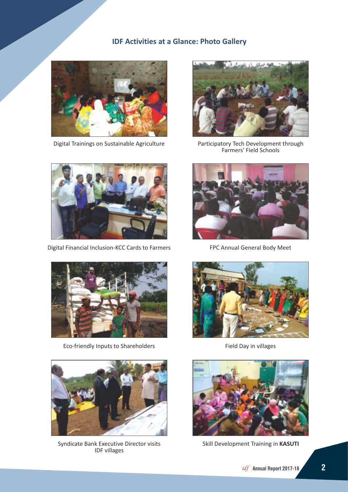## **IDF Activities at a Glance: Photo Gallery**





Digital Financial Inclusion-KCC Cards to Farmers FPC Annual General Body Meet



Eco-friendly Inputs to Shareholders Field Day in villages



Syndicate Bank Executive Director visits IDF villages



Digital Trainings on Sustainable Agriculture Participatory Tech Development through Farmers' Field Schools







Skill Development Training in **KASUTI**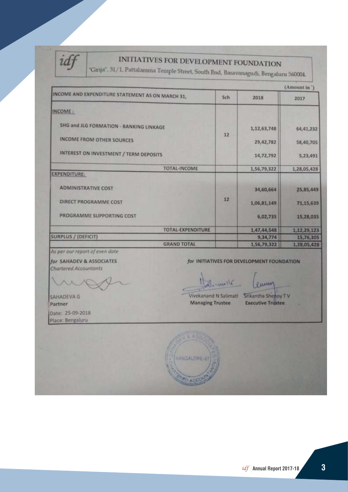

## INITIATIVES FOR DEVELOPMENT FOUNDATION

"Girija", 31/1, Pattalamına Temple Street, South End, Basavanagudi, Bengaluru 560004.

|                                                                                                                       |     |             | (Amount in ) |
|-----------------------------------------------------------------------------------------------------------------------|-----|-------------|--------------|
| INCOME AND EXPENDITURE STATEMENT AS ON MARCH 31,                                                                      | Sch | 2018        | 2017         |
| INCOME:                                                                                                               |     |             |              |
| SHG and JLG FORMATION - BANKING LINKAGE<br><b>INCOME FROM OTHER SOURCES</b><br>INTEREST ON INVESTMENT / TERM DEPOSITS |     | 1,12,63,748 | 64, 41, 232  |
|                                                                                                                       |     | 29,42,782   | 58,40,705    |
|                                                                                                                       |     | 14,72,792   | 5,23,491     |
| TOTAL-INCOME                                                                                                          |     | 1,56,79,322 | 1,28,05,428  |
| <b>EXPENDITURE:</b>                                                                                                   |     |             |              |
| <b>ADMINISTRATIVE COST</b>                                                                                            |     | 34,60,664   | 25,85,449    |
| DIRECT PROGRAMME COST                                                                                                 | 12  | 1,06,81,149 | 71,15,639    |
| PROGRAMME SUPPORTING COST                                                                                             |     | 6,02,735    | 15,28,035    |
| <b>TOTAL-EXPENDITURE</b>                                                                                              |     | 1,47,44,548 | 1,12,29,123  |
| <b>SURPLUS / (DEFICIT)</b>                                                                                            |     | 9,34,774    | 15,76,305    |
| <b>GRAND TOTAL</b>                                                                                                    |     | 1,56,79,322 | 1,28,05,428  |

As per our report of even date for SAHADEV & ASSOCIATES

Chartered Accountants

for INITIATIVES FOR DEVELOPMENT FOUNDATION

Bernard

Eum

SAHADEVA G Partner Date: 25-09-2018 Place: Bengaluru

Vivekanand N Salimat! Srikantha Shenoy TV **Managing Trustee** 

**Executive Trustee** 

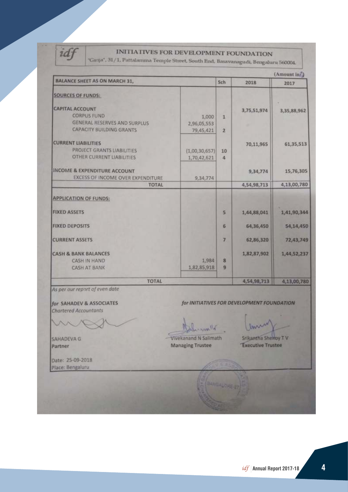idf

## INITIATIVES FOR DEVELOPMENT FOUNDATION

"Girija", 31/1, Pattalamma Temple Street, South End, Basavanagudi, Bengaluru 560004.

| <b>BALANCE SHEET AS ON MARCH 31.</b>                                   |                          | Sch                     |             | (Amount inf) |
|------------------------------------------------------------------------|--------------------------|-------------------------|-------------|--------------|
|                                                                        |                          |                         | 2018        | 2017         |
| <b>SOURCES OF FUNDS:</b>                                               |                          |                         |             |              |
| <b>CAPITAL ACCOUNT</b>                                                 |                          |                         | 3,75,51,974 | 3,35,88,962  |
| <b>CORPUS FUND</b>                                                     | 1,000                    | 1                       |             |              |
| <b>GENERAL RESERVES AND SURPLUS</b><br><b>CAPACITY BUILDING GRANTS</b> | 2,96,05,553<br>79,45,421 | $\overline{2}$          |             |              |
|                                                                        |                          |                         |             |              |
| <b>CURRENT LIABILITIES</b>                                             |                          |                         | 70,11,965   | 61,35,513    |
| PROJECT GRANTS LIABILITIES                                             | (1,00,30,657)            | 10                      |             |              |
| <b>OTHER CURRENT LIABILITIES</b>                                       | 1,70,42,621              | 4                       |             |              |
| <b>INCOME &amp; EXPENDITURE ACCOUNT</b>                                |                          |                         | 9,34,774    | 15,76,305    |
| EXCESS OF INCOME OVER EXPENDITURE                                      | 9,34,774                 |                         |             |              |
| <b>TOTAL</b>                                                           |                          |                         | 4,54,98,713 | 4,13,00,780  |
| <b>APPLICATION OF FUNDS:</b>                                           |                          |                         |             |              |
| <b>FIXED ASSETS</b>                                                    |                          | 5                       | 1,44,88,041 | 1,41,90,344  |
| <b>FIXED DEPOSITS</b>                                                  |                          | 6                       | 64,36,450   | 54,14,450    |
| <b>CURRENT ASSETS</b>                                                  |                          | 7                       | 62,86,320   | 72,43,749    |
| <b>CASH &amp; BANK BALANCES</b>                                        |                          |                         | 1,82,87,902 | 1,44,52,237  |
| <b>CASH IN HAND</b>                                                    | 1,984                    | $\overline{\mathbf{8}}$ |             |              |
| <b>CASH AT BANK</b>                                                    | 1,82,85,918              | 9                       |             |              |
| <b>TOTAL</b>                                                           |                          |                         | 4,54,98,713 | 4,13,00,780  |

As per our report of even date

for SAHADEV & ASSOCIATES Chartered Accountants

SAHADEVA G Partner

War Vivekanand N Salimath **Managing Trustee** 

for INITIATIVES FOR DEVELOPMENT FOUNDATION

Srikantha Shekoy TV **Executive Trustee** 

Date: 25-09-2018 Place: Bengaluru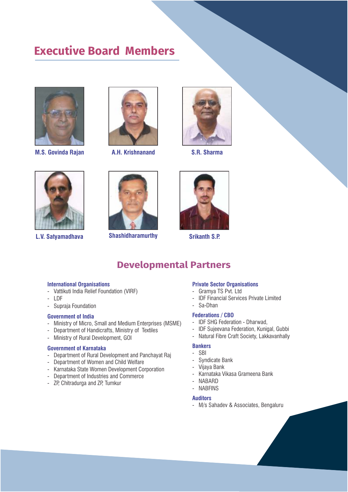## **Executive Board Members**



**M.S. Govinda Rajan A.H. Krishnanand S.R. Sharma**







**L.V. Satyamadhava**



**Shashidharamurthy Srikanth S.P.** 



## **Developmental Partners**

## **International Organisations**

- Vattikuti India Relief Foundation (VIRF)
- LDF
- Supraja Foundation

## **Government of India**

- Ministry of Micro, Small and Medium Enterprises (MSME)
- Department of Handicrafts, Ministry of Textiles
- Ministry of Rural Development, GOI

## **Government of Karnataka**

- Department of Rural Development and Panchayat Raj
- Department of Women and Child Welfare
- Karnataka State Women Development Corporation
- Department of Industries and Commerce
- ZP, Chitradurga and ZP, Tumkur

## **Private Sector Organisations**

- Gramya TS Pvt. Ltd<br>- IDE Financial Service
- IDF Financial Services Private Limited
- Sa-Dhan

## **Federations / CBO**

- IDF SHG Federation Dharwad,
- IDF Sujeevana Federation, Kunigal, Gubbi
- Natural Fibre Craft Society, Lakkavanhally

## **Bankers**

- SBI
- Syndicate Bank
- Vijaya Bank
- Karnataka Vikasa Grameena Bank
- NABARD
- NABFINS

#### **Auditors**

- M/s Sahadev & Associates, Bengaluru